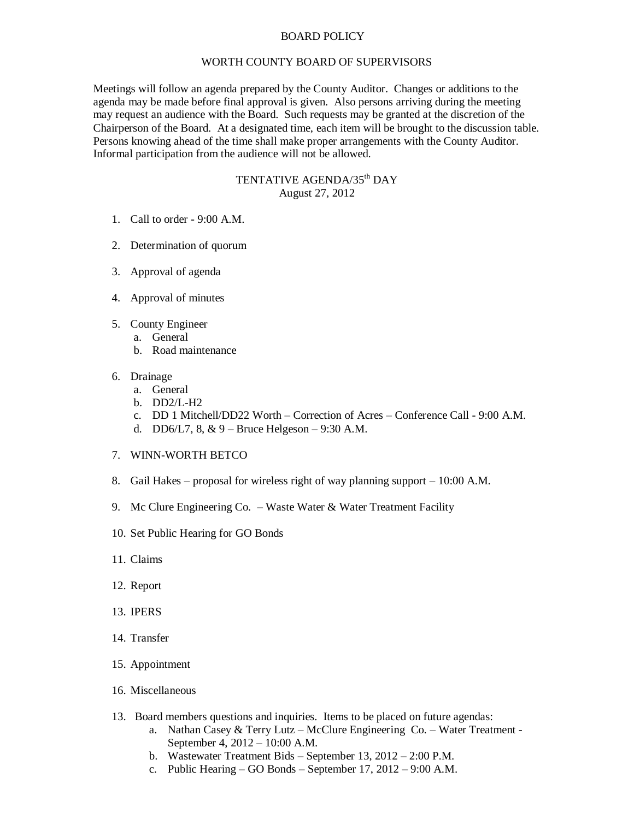## BOARD POLICY

## WORTH COUNTY BOARD OF SUPERVISORS

Meetings will follow an agenda prepared by the County Auditor. Changes or additions to the agenda may be made before final approval is given. Also persons arriving during the meeting may request an audience with the Board. Such requests may be granted at the discretion of the Chairperson of the Board. At a designated time, each item will be brought to the discussion table. Persons knowing ahead of the time shall make proper arrangements with the County Auditor. Informal participation from the audience will not be allowed.

## TENTATIVE AGENDA/35<sup>th</sup> DAY August 27, 2012

- 1. Call to order 9:00 A.M.
- 2. Determination of quorum
- 3. Approval of agenda
- 4. Approval of minutes
- 5. County Engineer
	- a. General
		- b. Road maintenance
- 6. Drainage
	- a. General
	- b. DD2/L-H2
	- c. DD 1 Mitchell/DD22 Worth Correction of Acres Conference Call 9:00 A.M.
	- d. DD6/L7,  $8, \& 9$  Bruce Helgeson 9:30 A.M.
- 7. WINN-WORTH BETCO
- 8. Gail Hakes proposal for wireless right of way planning support 10:00 A.M.
- 9. Mc Clure Engineering Co. Waste Water & Water Treatment Facility
- 10. Set Public Hearing for GO Bonds
- 11. Claims
- 12. Report
- 13. IPERS
- 14. Transfer
- 15. Appointment
- 16. Miscellaneous
- 13. Board members questions and inquiries. Items to be placed on future agendas:
	- a. Nathan Casey & Terry Lutz McClure Engineering Co. Water Treatment September 4, 2012 – 10:00 A.M.
	- b. Wastewater Treatment Bids September 13, 2012 2:00 P.M.
	- c. Public Hearing GO Bonds September 17, 2012 9:00 A.M.